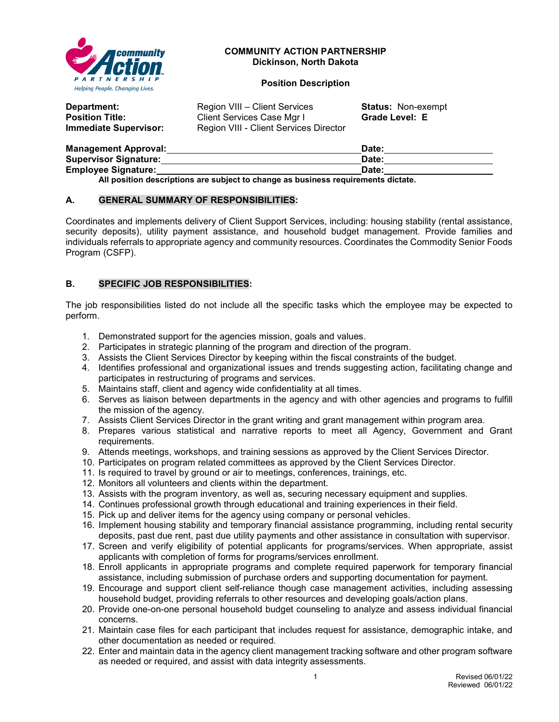

#### **COMMUNITY ACTION PARTNERSHIP Dickinson, North Dakota**

## **Position Description**

| Department:<br><b>Position Title:</b><br>Immediate Supervisor: | Region VIII – Client Services<br>Client Services Case Mgr I<br>Region VIII - Client Services Director | <b>Status: Non-exempt</b><br>Grade Level: E |  |
|----------------------------------------------------------------|-------------------------------------------------------------------------------------------------------|---------------------------------------------|--|
| Managoment Annroval                                            |                                                                                                       | ·hate                                       |  |

| <b>Management Approval:</b>                                                      | Date: |  |
|----------------------------------------------------------------------------------|-------|--|
| <b>Supervisor Signature:</b>                                                     | Date: |  |
| <b>Employee Signature:</b>                                                       | Date: |  |
| All nosition descriptions are subject to change as business requirements dictate |       |  |

**All position descriptions are subject to change as business requirements dictate.**

#### **A. GENERAL SUMMARY OF RESPONSIBILITIES:**

Coordinates and implements delivery of Client Support Services, including: housing stability (rental assistance, security deposits), utility payment assistance, and household budget management. Provide families and individuals referrals to appropriate agency and community resources. Coordinates the Commodity Senior Foods Program (CSFP).

## **B. SPECIFIC JOB RESPONSIBILITIES:**

The job responsibilities listed do not include all the specific tasks which the employee may be expected to perform.

- 1. Demonstrated support for the agencies mission, goals and values.
- 2. Participates in strategic planning of the program and direction of the program.
- 3. Assists the Client Services Director by keeping within the fiscal constraints of the budget.
- 4. Identifies professional and organizational issues and trends suggesting action, facilitating change and participates in restructuring of programs and services.
- 5. Maintains staff, client and agency wide confidentiality at all times.
- 6. Serves as liaison between departments in the agency and with other agencies and programs to fulfill the mission of the agency.
- 7. Assists Client Services Director in the grant writing and grant management within program area.
- 8. Prepares various statistical and narrative reports to meet all Agency, Government and Grant requirements.
- 9. Attends meetings, workshops, and training sessions as approved by the Client Services Director.
- 10. Participates on program related committees as approved by the Client Services Director.
- 11. Is required to travel by ground or air to meetings, conferences, trainings, etc.
- 12. Monitors all volunteers and clients within the department.
- 13. Assists with the program inventory, as well as, securing necessary equipment and supplies.
- 14. Continues professional growth through educational and training experiences in their field.
- 15. Pick up and deliver items for the agency using company or personal vehicles.
- 16. Implement housing stability and temporary financial assistance programming, including rental security deposits, past due rent, past due utility payments and other assistance in consultation with supervisor.
- 17. Screen and verify eligibility of potential applicants for programs/services. When appropriate, assist applicants with completion of forms for programs/services enrollment.
- 18. Enroll applicants in appropriate programs and complete required paperwork for temporary financial assistance, including submission of purchase orders and supporting documentation for payment.
- 19. Encourage and support client self-reliance though case management activities, including assessing household budget, providing referrals to other resources and developing goals/action plans.
- 20. Provide one-on-one personal household budget counseling to analyze and assess individual financial concerns.
- 21. Maintain case files for each participant that includes request for assistance, demographic intake, and other documentation as needed or required.
- 22. Enter and maintain data in the agency client management tracking software and other program software as needed or required, and assist with data integrity assessments.